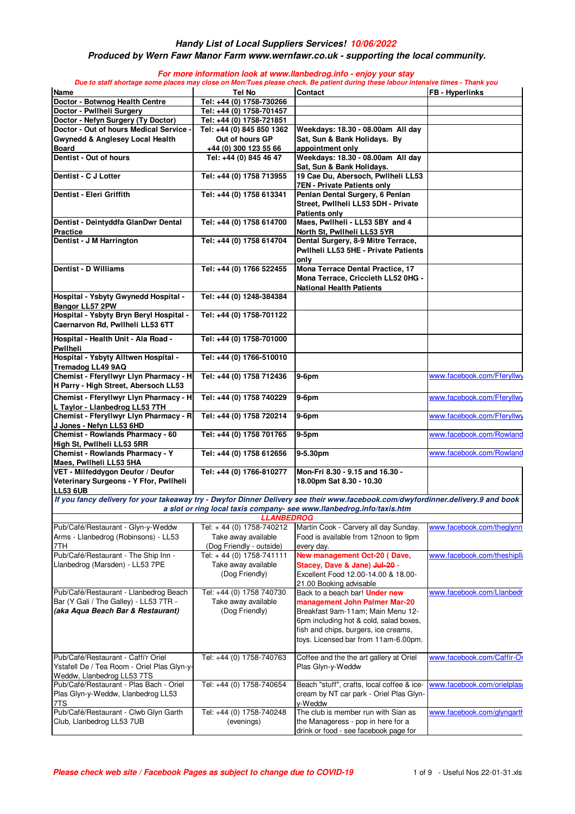#### **Produced by Wern Fawr Manor Farm www.wernfawr.co.uk - supporting the local community.**

| Name                                                                                                                             | Tel No                                                             | Due to staff shortage some places may close on Mon/Tues please check. Be patient during these labour intensive times - Thank you<br><b>Contact</b>                                                                             | <b>FB</b> - Hyperlinks      |
|----------------------------------------------------------------------------------------------------------------------------------|--------------------------------------------------------------------|--------------------------------------------------------------------------------------------------------------------------------------------------------------------------------------------------------------------------------|-----------------------------|
| Doctor - Botwnog Health Centre                                                                                                   | Tel: +44 (0) 1758-730266                                           |                                                                                                                                                                                                                                |                             |
| Doctor - Pwllheli Surgery                                                                                                        | Tel: +44 (0) 1758-701457                                           |                                                                                                                                                                                                                                |                             |
| Doctor - Nefyn Surgery (Ty Doctor)                                                                                               | Tel: +44 (0) 1758-721851                                           |                                                                                                                                                                                                                                |                             |
| Doctor - Out of hours Medical Service -                                                                                          | Tel: +44 (0) 845 850 1362                                          | Weekdays: 18.30 - 08.00am All day                                                                                                                                                                                              |                             |
| <b>Gwynedd &amp; Anglesey Local Health</b>                                                                                       | Out of hours GP                                                    | Sat, Sun & Bank Holidays. By                                                                                                                                                                                                   |                             |
| <b>Board</b>                                                                                                                     | +44 (0) 300 123 55 66                                              | appointment only                                                                                                                                                                                                               |                             |
| Dentist - Out of hours                                                                                                           | Tel: +44 (0) 845 46 47                                             | Weekdays: 18.30 - 08.00am All day<br>Sat, Sun & Bank Holidays.                                                                                                                                                                 |                             |
| Dentist - C J Lotter                                                                                                             | Tel: +44 (0) 1758 713955                                           | 19 Cae Du, Abersoch, Pwllheli LL53<br><b>7EN - Private Patients only</b>                                                                                                                                                       |                             |
| Dentist - Eleri Griffith                                                                                                         | Tel: +44 (0) 1758 613341                                           | Penlan Dental Surgery, 6 Penlan<br>Street, Pwllheli LL53 5DH - Private                                                                                                                                                         |                             |
| Dentist - Deintyddfa GlanDwr Dental<br><b>Practice</b>                                                                           | Tel: +44 (0) 1758 614700                                           | Patients only<br>Maes, Pwllheli - LL53 5BY and 4<br>North St, Pwllheli LL53 5YR                                                                                                                                                |                             |
| Dentist - J M Harrington                                                                                                         | Tel: +44 (0) 1758 614704                                           | Dental Surgery, 8-9 Mitre Terrace,<br>Pwllheli LL53 5HE - Private Patients<br>only                                                                                                                                             |                             |
| Dentist - D Williams                                                                                                             | Tel: +44 (0) 1766 522455                                           | Mona Terrace Dental Practice, 17<br>Mona Terrace, Criccieth LL52 0HG -<br><b>National Health Patients</b>                                                                                                                      |                             |
| Hospital - Ysbyty Gwynedd Hospital -<br><b>Bangor LL57 2PW</b>                                                                   | Tel: +44 (0) 1248-384384                                           |                                                                                                                                                                                                                                |                             |
| Hospital - Ysbyty Bryn Beryl Hospital -<br>Caernarvon Rd, Pwllheli LL53 6TT                                                      | Tel: +44 (0) 1758-701122                                           |                                                                                                                                                                                                                                |                             |
| Hospital - Health Unit - Ala Road -<br>Pwllheli                                                                                  | Tel: +44 (0) 1758-701000                                           |                                                                                                                                                                                                                                |                             |
| Hospital - Ysbyty Alltwen Hospital -<br><b>Tremadog LL49 9AQ</b>                                                                 | Tel: +44 (0) 1766-510010                                           |                                                                                                                                                                                                                                |                             |
| Chemist - Fferyllwyr Llyn Pharmacy - H<br>H Parry - High Street, Abersoch LL53                                                   | Tel: +44 (0) 1758 712436                                           | $9-6$ pm                                                                                                                                                                                                                       | www.facebook.com/Fferyllwy  |
| Chemist - Fferyllwyr Llyn Pharmacy - H<br>L Taylor - Llanbedrog LL53 7TH                                                         | Tel: +44 (0) 1758 740229                                           | 9-6pm                                                                                                                                                                                                                          | www.facebook.com/Fferyllwy  |
| Chemist - Fferyllwyr Llyn Pharmacy - R<br>J Jones - Nefyn LL53 6HD                                                               | Tel: +44 (0) 1758 720214                                           | $9-6$ pm                                                                                                                                                                                                                       | www.facebook.com/Fferyllwy  |
| Chemist - Rowlands Pharmacy - 60<br>High St, Pwllheli LL53 5RR                                                                   | Tel: +44 (0) 1758 701765                                           | $9-5pm$                                                                                                                                                                                                                        | www.facebook.com/Rowland    |
| <b>Chemist - Rowlands Pharmacy - Y</b><br>Maes, Pwllheli LL53 5HA                                                                | Tel: +44 (0) 1758 612656                                           | 9-5.30pm                                                                                                                                                                                                                       | www.facebook.com/Rowland    |
| VET - Milfeddygon Deufor / Deufor<br>Veterinary Surgeons - Y Ffor, Pwllheli<br><b>LL53 6UB</b>                                   | Tel: +44 (0) 1766-810277                                           | Mon-Fri 8.30 - 9.15 and 16.30 -<br>18.00pm Sat 8.30 - 10.30                                                                                                                                                                    |                             |
| If you fancy delivery for your takeaway try - Dwyfor Dinner Delivery see their www.facebook.com/dwyfordinner.delivery.9 and book |                                                                    | a slot or ring local taxis company- see www.llanbedrog.info/taxis.htm                                                                                                                                                          |                             |
|                                                                                                                                  | <b>LLANBEDROG</b>                                                  |                                                                                                                                                                                                                                |                             |
| Pub/Café/Restaurant - Glyn-y-Weddw<br>Arms - Llanbedrog (Robinsons) - LL53                                                       | Tel: +44 (0) 1758-740212<br>Take away available                    | Martin Cook - Carvery all day Sunday.<br>Food is available from 12noon to 9pm                                                                                                                                                  | www.facebook.com/theglynn   |
| 7TH                                                                                                                              | (Dog Friendly - outside)                                           | every day.                                                                                                                                                                                                                     |                             |
| Pub/Café/Restaurant - The Ship Inn -<br>Llanbedrog (Marsden) - LL53 7PE                                                          | Tel: $+44(0)$ 1758-741111<br>Take away available<br>(Dog Friendly) | New management Oct-20 (Dave,<br>Stacey, Dave & Jane) Jul-20 -<br>Excellent Food 12.00-14.00 & 18.00-<br>21.00 Booking advisable                                                                                                | www.facebook.com/theshiplla |
| Pub/Café/Restaurant - Llanbedrog Beach<br>Bar (Y Gali / The Galley) - LL53 7TR -<br>(aka Aqua Beach Bar & Restaurant)            | Tel: +44 (0) 1758 740730<br>Take away available<br>(Dog Friendly)  | Back to a beach bar! Under new<br>management John Palmer Mar-20<br>Breakfast 9am-11am; Main Menu 12-<br>6pm including hot & cold, salad boxes,<br>fish and chips, burgers, ice creams,<br>toys. Licensed bar from 11am-6.00pm. | www.facebook.com/Llanbedr   |
| Pub/Café/Restaurant - Caffi'r Oriel<br>Ystafell De / Tea Room - Oriel Plas Glyn-y-<br>Weddw, Llanbedrog LL53 7TS                 | Tel: +44 (0) 1758-740763                                           | Coffee and the the art gallery at Oriel<br>Plas Glyn-y-Weddw                                                                                                                                                                   | www.facebook.com/Caffir-Or  |
| Pub/Café/Restaurant - Plas Bach - Oriel<br>Plas Glyn-y-Weddw, Llanbedrog LL53<br>7TS                                             | Tel: +44 (0) 1758-740654                                           | Beach "stuff", crafts, local coffee & ice-<br>cream by NT car park - Oriel Plas Glyn-<br>v-Weddw                                                                                                                               | www.facebook.com/orielplase |
| Pub/Café/Restaurant - Clwb Glyn Garth<br>Club, Llanbedrog LL53 7UB                                                               | Tel: +44 (0) 1758-740248<br>(evenings)                             | The club is member run with Sian as<br>the Manageress - pop in here for a<br>drink or food - see facebook page for                                                                                                             | www.facebook.com/glyngarth  |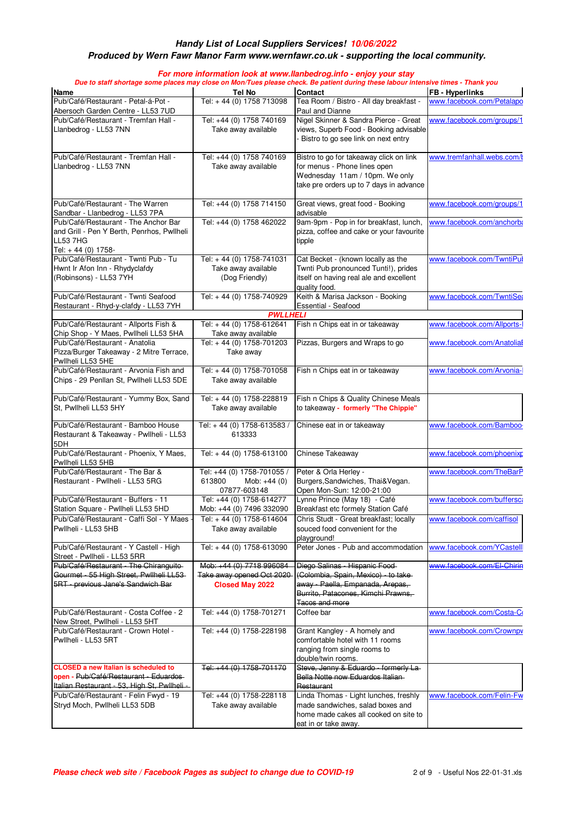#### **Produced by Wern Fawr Manor Farm www.wernfawr.co.uk - supporting the local community.**

| <b>Name</b>                                                                                                                          | Tel No                                                                | <b>Contact</b>                                                                                                                                       | <b>FB</b> - Hyperlinks     |  |
|--------------------------------------------------------------------------------------------------------------------------------------|-----------------------------------------------------------------------|------------------------------------------------------------------------------------------------------------------------------------------------------|----------------------------|--|
| Pub/Café/Restaurant - Petal-á-Pot -                                                                                                  | Tel: $+44(0)$ 1758 713098                                             | Tea Room / Bistro - All day breakfast -                                                                                                              | www.facebook.com/Petalapo  |  |
| Abersoch Garden Centre - LL53 7UD                                                                                                    |                                                                       | Paul and Dianne                                                                                                                                      |                            |  |
| Pub/Café/Restaurant - Tremfan Hall -<br>Llanbedrog - LL53 7NN                                                                        | Tel: +44 (0) 1758 740169<br>Take away available                       | Nigel Skinner & Sandra Pierce - Great<br>views, Superb Food - Booking advisable<br>Bistro to go see link on next entry                               | www.facebook.com/groups/1  |  |
| Pub/Café/Restaurant - Tremfan Hall -<br>Llanbedrog - LL53 7NN                                                                        | Tel: +44 (0) 1758 740169<br>Take away available                       | Bistro to go for takeaway click on link<br>for menus - Phone lines open<br>Wednesday 11am / 10pm. We only<br>take pre orders up to 7 days in advance | www.tremfanhall.webs.com/t |  |
| Pub/Café/Restaurant - The Warren<br>Sandbar - Llanbedrog - LL53 7PA                                                                  | Tel: +44 (0) 1758 714150                                              | Great views, great food - Booking<br>advisable                                                                                                       | www.facebook.com/groups/1  |  |
| Pub/Café/Restaurant - The Anchor Bar<br>and Grill - Pen Y Berth, Penrhos, Pwllheli<br>LL53 7HG<br>Tel: +44 (0) 1758-                 | Tel: +44 (0) 1758 462022                                              | 9am-9pm - Pop in for breakfast, lunch,<br>pizza, coffee and cake or your favourite<br>tipple                                                         | www.facebook.com/anchorba  |  |
| Pub/Café/Restaurant - Twnti Pub - Tu<br>Hwnt Ir Afon Inn - Rhydyclafdy<br>(Robinsons) - LL53 7YH                                     | Tel: +44 (0) 1758-741031<br>Take away available<br>(Dog Friendly)     | Cat Becket - (known locally as the<br>Twnti Pub pronounced Tunti!), prides<br>itself on having real ale and excellent<br>quality food.               | www.facebook.com/TwntiPul  |  |
| Pub/Café/Restaurant - Twnti Seafood<br>Restaurant - Rhyd-y-clafdy - LL53 7YH                                                         | Tel: +44 (0) 1758-740929                                              | Keith & Marisa Jackson - Booking<br><b>Essential - Seafood</b>                                                                                       | www.facebook.com/TwntiSea  |  |
|                                                                                                                                      | <b>PWLLHELI</b>                                                       |                                                                                                                                                      |                            |  |
| Pub/Café/Restaurant - Allports Fish &<br>Chip Shop - Y Maes, Pwllheli LL53 5HA                                                       | Tel: +44 (0) 1758-612641<br>Take away available                       | Fish n Chips eat in or takeaway                                                                                                                      | www.facebook.com/Allports- |  |
| Pub/Café/Restaurant - Anatolia<br>Pizza/Burger Takeaway - 2 Mitre Terrace,<br>Pwllheli LL53 5HE                                      | Tel: +44 (0) 1758-701203<br>Take away                                 | Pizzas, Burgers and Wraps to go                                                                                                                      | www.facebook.com/Anatolial |  |
| Pub/Café/Restaurant - Arvonia Fish and<br>Chips - 29 Penllan St, Pwllheli LL53 5DE                                                   | Tel: +44 (0) 1758-701058<br>Take away available                       | Fish n Chips eat in or takeaway                                                                                                                      | www.facebook.com/Arvonia-  |  |
| Pub/Café/Restaurant - Yummy Box, Sand<br>St, Pwllheli LL53 5HY                                                                       | Tel: +44 (0) 1758-228819<br>Take away available                       | Fish n Chips & Quality Chinese Meals<br>to takeaway - formerly "The Chippie"                                                                         |                            |  |
| Pub/Café/Restaurant - Bamboo House<br>Restaurant & Takeaway - Pwllheli - LL53<br>5DH                                                 | Tel: +44 (0) 1758-613583 /<br>613333                                  | Chinese eat in or takeaway                                                                                                                           | www.facebook.com/Bamboo-   |  |
| Pub/Café/Restaurant - Phoenix, Y Maes,<br>Pwllheli LL53 5HB                                                                          | Tel: +44 (0) 1758-613100                                              | Chinese Takeaway                                                                                                                                     | www.facebook.com/phoenixp  |  |
| Pub/Café/Restaurant - The Bar &<br>Restaurant - Pwllheli - LL53 5RG                                                                  | Tel: +44 (0) 1758-701055 /<br>613800<br>Mob: $+44(0)$<br>07877-603148 | Peter & Orla Herley -<br>Burgers, Sandwiches, Thai& Vegan.<br>Open Mon-Sun: 12:00-21:00                                                              | www.facebook.com/TheBarP   |  |
| Pub/Café/Restaurant - Buffers - 11<br>Station Square - Pwllheli LL53 5HD                                                             | Tel: +44 (0) 1758-614277<br>Mob: +44 (0) 7496 332090                  | Lynne Prince (May 18) - Café<br>Breakfast etc formely Station Café                                                                                   | www.facebook.com/buffersca |  |
| Pub/Café/Restaurant - Caffi Sol - Y Maes<br>Pwllheli - LL53 5HB                                                                      | Tel: +44 (0) 1758-614604<br>Take away available                       | Chris Studt - Great breakfast; locally<br>souced food convenient for the<br>playground!                                                              | www.facebook.com/caffisol  |  |
| Pub/Café/Restaurant - Y Castell - High<br>Street - Pwllheli - LL53 5RR                                                               | Tel: +44 (0) 1758-613090                                              | Peter Jones - Pub and accommodation                                                                                                                  | www.facebook.com/YCastell  |  |
| Pub/Café/Restaurant - The Chiranguito-                                                                                               | Mob: +44 (0) 7718 996084                                              | Diego Salinas - Hispanic Food-                                                                                                                       | www.facebook.com/El-Chirin |  |
| Gourmet - 55 High Street, Pwllheli LL53<br><b>5RT - previous Jane's Sandwich Bar</b>                                                 | Take away opened Oct 2020<br><b>Closed May 2022</b>                   | (Colombia, Spain, Mexico) - to take<br>away - Paella, Empanada, Arepas,<br>Burrito, Patacones, Kimchi Prawns,<br>Tacos and more                      |                            |  |
| Pub/Café/Restaurant - Costa Coffee - 2<br>New Street, Pwllheli - LL53 5HT                                                            | Tel: +44 (0) 1758-701271                                              | Coffee bar                                                                                                                                           | www.facebook.com/Costa-Co  |  |
| Pub/Café/Restaurant - Crown Hotel -<br>Pwllheli - LL53 5RT                                                                           | Tel: +44 (0) 1758-228198                                              | Grant Kangley - A homely and<br>comfortable hotel with 11 rooms<br>ranging from single rooms to<br>double/twin rooms.                                | www.facebook.com/Crownpv   |  |
| <b>CLOSED a new Italian is scheduled to</b><br>open - Pub/Café/Restaurant - Eduardos<br>Italian Restaurant - 53, High St, Pwllheli - | Tel: +44 (0) 1758-701170                                              | Steve, Jenny & Eduardo - formerly La-<br>Bella Notte now Eduardos Italian<br>Restaurant                                                              |                            |  |
| Pub/Café/Restaurant - Felin Fwyd - 19<br>Stryd Moch, Pwllheli LL53 5DB                                                               | Tel: +44 (0) 1758-228118<br>Take away available                       | Linda Thomas - Light lunches, freshly<br>made sandwiches, salad boxes and<br>home made cakes all cooked on site to<br>eat in or take away.           | www.facebook.com/Felin-Fw  |  |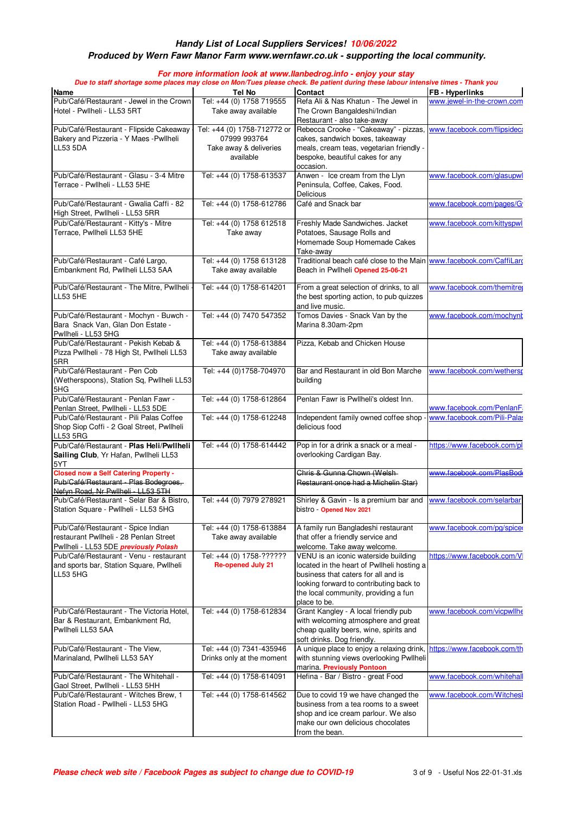#### **Produced by Wern Fawr Manor Farm www.wernfawr.co.uk - supporting the local community.**

| Name                                                                                                                        | Tel No                                                                             | Due to staff shortage some places may close on Mon/Tues please check. Be patient during these labour intensive times - Thank you<br><b>Contact</b>                                                                           | <b>FB</b> - Hyperlinks      |
|-----------------------------------------------------------------------------------------------------------------------------|------------------------------------------------------------------------------------|------------------------------------------------------------------------------------------------------------------------------------------------------------------------------------------------------------------------------|-----------------------------|
| Pub/Café/Restaurant - Jewel in the Crown<br>Hotel - Pwllheli - LL53 5RT                                                     | Tel: +44 (0) 1758 719555<br>Take away available                                    | Refa Ali & Nas Khatun - The Jewel in<br>The Crown Bangaldeshi/Indian<br>Restaurant - also take-away                                                                                                                          | www.jewel-in-the-crown.com  |
| Pub/Café/Restaurant - Flipside Cakeaway<br>Bakery and Pizzeria - Y Maes - Pwllheli<br><b>LL53 5DA</b>                       | Tel: +44 (0) 1758-712772 or<br>07999 993764<br>Take away & deliveries<br>available | Rebecca Crooke - "Cakeaway" - pizzas,<br>cakes, sandwich boxes, takeaway<br>meals, cream teas, vegetarian friendly -<br>bespoke, beautiful cakes for any<br>occasion.                                                        | www.facebook.com/flipsideca |
| Pub/Café/Restaurant - Glasu - 3-4 Mitre<br>Terrace - Pwllheli - LL53 5HE                                                    | Tel: +44 (0) 1758-613537                                                           | Anwen - Ice cream from the Llyn<br>Peninsula, Coffee, Cakes, Food.<br>Delicious                                                                                                                                              | www.facebook.com/glasupwl   |
| Pub/Café/Restaurant - Gwalia Caffi - 82<br>High Street, Pwllheli - LL53 5RR                                                 | Tel: +44 (0) 1758-612786                                                           | Café and Snack bar                                                                                                                                                                                                           | www.facebook.com/pages/G    |
| Pub/Café/Restaurant - Kitty's - Mitre<br>Terrace, Pwllheli LL53 5HE                                                         | Tel: +44 (0) 1758 612518<br>Take away                                              | Freshly Made Sandwiches. Jacket<br>Potatoes, Sausage Rolls and<br>Homemade Soup Homemade Cakes<br>Take-away                                                                                                                  | www.facebook.com/kittyspwl  |
| Pub/Café/Restaurant - Café Largo,<br>Embankment Rd, Pwllheli LL53 5AA                                                       | Tel: +44 (0) 1758 613128<br>Take away available                                    | Traditional beach café close to the Main www.facebook.com/CaffiLarg<br>Beach in Pwllheli Opened 25-06-21                                                                                                                     |                             |
| Pub/Café/Restaurant - The Mitre, Pwllheli<br><b>LL53 5HE</b>                                                                | Tel: +44 (0) 1758-614201                                                           | From a great selection of drinks, to all<br>the best sporting action, to pub quizzes<br>and live music.                                                                                                                      | www.facebook.com/themitrer  |
| Pub/Café/Restaurant - Mochyn - Buwch -<br>Bara Snack Van, Glan Don Estate -<br>Pwllheli - LL53 5HG                          | Tel: +44 (0) 7470 547352                                                           | Tomos Davies - Snack Van by the<br>Marina 8.30am-2pm                                                                                                                                                                         | www.facebook.com/mochynt    |
| Pub/Café/Restaurant - Pekish Kebab &<br>Pizza Pwllheli - 78 High St, Pwllheli LL53<br>5RR                                   | Tel: +44 (0) 1758-613884<br>Take away available                                    | Pizza, Kebab and Chicken House                                                                                                                                                                                               |                             |
| Pub/Café/Restaurant - Pen Cob<br>(Wetherspoons), Station Sq, Pwllheli LL53<br>5HG                                           | Tel: +44 (0)1758-704970                                                            | Bar and Restaurant in old Bon Marche<br>building                                                                                                                                                                             | www.facebook.com/wethersp   |
| Pub/Café/Restaurant - Penlan Fawr -<br>Penlan Street, Pwllheli - LL53 5DE                                                   | Tel: +44 (0) 1758-612864                                                           | Penlan Fawr is Pwllheli's oldest Inn.                                                                                                                                                                                        | www.facebook.com/PenlanF    |
| Pub/Café/Restaurant - Pili Palas Coffee<br>Shop Siop Coffi - 2 Goal Street, Pwllheli<br>LL53 5RG                            | Tel: +44 (0) 1758-612248                                                           | Independent family owned coffee shop -<br>delicious food                                                                                                                                                                     | www.facebook.com/Pili-Palas |
| Pub/Café/Restaurant - Plas Heli/Pwllheli<br>Sailing Club, Yr Hafan, Pwllheli LL53<br>5YT                                    | Tel: +44 (0) 1758-614442                                                           | Pop in for a drink a snack or a meal -<br>overlooking Cardigan Bay.                                                                                                                                                          | https://www.facebook.com/pl |
| <b>Closed now a Self Catering Property -</b><br>Pub/Café/Restaurant - Plas Bodegroes,<br>Nefyn Road. Nr Pwllheli - LL53 5TH |                                                                                    | Chris & Gunna Chown (Welsh-<br>Restaurant once had a Michelin Star)                                                                                                                                                          | www.facebook.com/PlasBod    |
| Pub/Café/Restaurant - Selar Bar & Bistro,<br>Station Square - Pwllheli - LL53 5HG                                           | Tel: +44 (0) 7979 278921                                                           | Shirley & Gavin - Is a premium bar and<br>bistro - Opened Nov 2021                                                                                                                                                           | www.facebook.com/selarbar   |
| Pub/Café/Restaurant - Spice Indian<br>restaurant Pwllheli - 28 Penlan Street<br>Pwllheli - LL53 5DE previously Polash       | Tel: +44 (0) 1758-613884<br>Take away available                                    | A family run Bangladeshi restaurant<br>that offer a friendly service and<br>welcome. Take away welcome.                                                                                                                      | www.facebook.com/pg/spice   |
| Pub/Café/Restaurant - Venu - restaurant<br>and sports bar, Station Square, Pwllheli<br><b>LL53 5HG</b>                      | Tel: +44 (0) 1758-??????<br><b>Re-opened July 21</b>                               | VENU is an iconic waterside building<br>located in the heart of Pwllheli hosting a<br>business that caters for all and is<br>looking forward to contributing back to<br>the local community, providing a fun<br>place to be. | https://www.facebook.com/V  |
| Pub/Café/Restaurant - The Victoria Hotel,<br>Bar & Restaurant, Embankment Rd,<br>Pwllheli LL53 5AA                          | Tel: +44 (0) 1758-612834                                                           | Grant Kangley - A local friendly pub<br>with welcoming atmosphere and great<br>cheap quality beers, wine, spirits and<br>soft drinks. Dog friendly.                                                                          | www.facebook.com/vicpwllhe  |
| Pub/Café/Restaurant - The View,<br>Marinaland, Pwllheli LL53 5AY                                                            | Tel: +44 (0) 7341-435946<br>Drinks only at the moment                              | A unique place to enjoy a relaxing drink,<br>with stunning views overlooking Pwllheli<br>marina. Previously Pontoon                                                                                                          | https://www.facebook.com/th |
| Pub/Café/Restaurant - The Whitehall -<br>Gaol Street, Pwllheli - LL53 5HH                                                   | Tel: +44 (0) 1758-614091                                                           | Hefina - Bar / Bistro - great Food                                                                                                                                                                                           | www.facebook.com/whitehall  |
| Pub/Café/Restaurant - Witches Brew, 1<br>Station Road - Pwllheli - LL53 5HG                                                 | Tel: +44 (0) 1758-614562                                                           | Due to covid 19 we have changed the<br>business from a tea rooms to a sweet<br>shop and ice cream parlour. We also<br>make our own delicious chocolates<br>from the bean.                                                    | www.facebook.com/Witchesl   |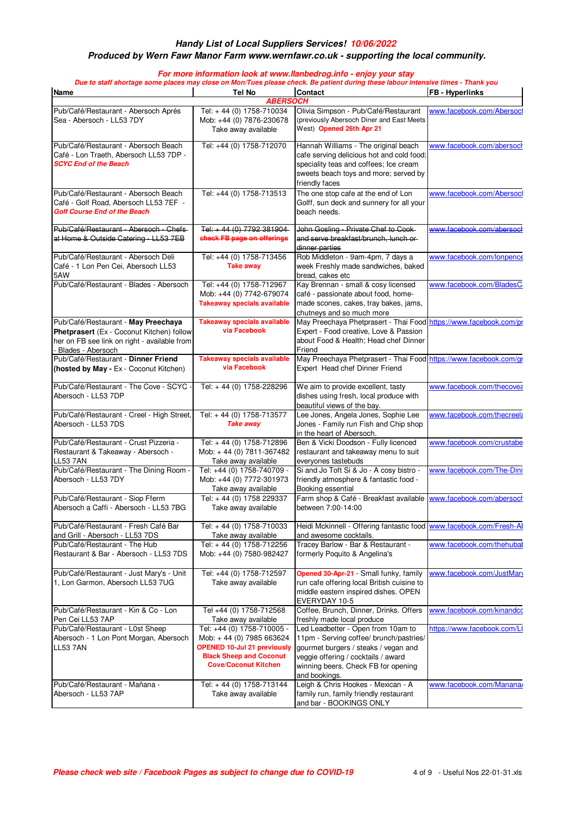#### **Produced by Wern Fawr Manor Farm www.wernfawr.co.uk - supporting the local community.**

| <b>Name</b>                                                                                                                                           | Tel No                                                                                              | <b>Contact</b>                                                                                                                                                       | <b>FB</b> - Hyperlinks      |
|-------------------------------------------------------------------------------------------------------------------------------------------------------|-----------------------------------------------------------------------------------------------------|----------------------------------------------------------------------------------------------------------------------------------------------------------------------|-----------------------------|
|                                                                                                                                                       | <b>ABERSOCH</b>                                                                                     |                                                                                                                                                                      |                             |
| Pub/Café/Restaurant - Abersoch Aprés<br>Sea - Abersoch - LL53 7DY                                                                                     | Tel: +44 (0) 1758-710034<br>Mob: +44 (0) 7876-230678<br>Take away available                         | Olivia Simpson - Pub/Café/Restaurant<br>(previously Abersoch Diner and East Meets<br>West) Opened 26th Apr 21                                                        | www.facebook.com/Abersocl   |
|                                                                                                                                                       |                                                                                                     |                                                                                                                                                                      |                             |
| Pub/Café/Restaurant - Abersoch Beach<br>Café - Lon Traeth, Abersoch LL53 7DP -<br><b>SCYC End of the Beach</b>                                        | Tel: +44 (0) 1758-712070                                                                            | Hannah Williams - The original beach<br>cafe serving delicious hot and cold food;<br>speciality teas and coffees; Ice cream<br>sweets beach toys and more; served by | www.facebook.com/abersoch   |
|                                                                                                                                                       |                                                                                                     | friendly faces                                                                                                                                                       |                             |
| Pub/Café/Restaurant - Abersoch Beach<br>Café - Golf Road. Abersoch LL53 7EF -<br><b>Golf Course End of the Beach</b>                                  | Tel: +44 (0) 1758-713513                                                                            | The one stop cafe at the end of Lon<br>Golff, sun deck and sunnery for all your<br>beach needs.                                                                      | www.facebook.com/Abersocl   |
| Pub/Gafé/Restaurant - Abersech - Chefs-<br>at Home & Outside Catering - LL53 7EB                                                                      | Tel: $+44(0)$ 7792 381904<br>check FB page on offerings                                             | John Gosling - Private Chef to Cook-<br>and serve breakfast/brunch. lunch or-<br>dinner parties                                                                      | www.facebook.com/aberseek   |
| Pub/Café/Restaurant - Abersoch Deli                                                                                                                   | Tel: +44 (0) 1758-713456                                                                            | Rob Middleton - 9am-4pm, 7 days a                                                                                                                                    | www.facebook.com/lonpence   |
| Café - 1 Lon Pen Cei, Abersoch LL53<br>5AW                                                                                                            | <b>Take away</b>                                                                                    | week Freshly made sandwiches, baked<br>bread, cakes etc                                                                                                              |                             |
| Pub/Café/Restaurant - Blades - Abersoch                                                                                                               | Tel: +44 (0) 1758-712967                                                                            | Kay Brennan - small & cosy licensed                                                                                                                                  | www.facebook.com/BladesC    |
|                                                                                                                                                       | Mob: +44 (0) 7742-679074<br><b>Takeaway specials available</b>                                      | café - passionate about food, home-<br>made scones, cakes, tray bakes, jams,                                                                                         |                             |
|                                                                                                                                                       |                                                                                                     | chutneys and so much more                                                                                                                                            |                             |
| Pub/Café/Restaurant - May Preechaya<br>Phetprasert (Ex - Coconut Kitchen) follow<br>her on FB see link on right - available from<br>Blades - Abersoch | <b>Takeaway specials available</b><br>via Facebook                                                  | May Preechaya Phetprasert - Thai Food https://www.facebook.com/pr<br>Expert - Food creative, Love & Passion<br>about Food & Health; Head chef Dinner<br>Friend       |                             |
| Pub/Café/Restaurant - Dinner Friend                                                                                                                   | <b>Takeaway specials available</b>                                                                  | May Preechaya Phetprasert - Thai Food https://www.facebook.com/gr                                                                                                    |                             |
| (hosted by May - Ex - Coconut Kitchen)                                                                                                                | via Facebook                                                                                        | Expert Head chef Dinner Friend                                                                                                                                       |                             |
| Pub/Café/Restaurant - The Cove - SCYC<br>Abersoch - LL53 7DP                                                                                          | Tel: +44 (0) 1758-228296                                                                            | We aim to provide excellent, tasty<br>dishes using fresh, local produce with<br>beautiful views of the bay.                                                          | www.facebook.com/thecovea   |
| Pub/Café/Restaurant - Creel - High Street,<br>Abersoch - LL53 7DS                                                                                     | Tel: +44 (0) 1758-713577<br><b>Take away</b>                                                        | Lee Jones, Angela Jones, Sophie Lee<br>Jones - Family run Fish and Chip shop<br>in the heart of Abersoch.                                                            | www.facebook.com/thecreela  |
| Pub/Café/Restaurant - Crust Pizzeria -<br>Restaurant & Takeaway - Abersoch -<br><b>LL53 7AN</b>                                                       | Tel: +44 (0) 1758-712896<br>Mob: +44 (0) 7811-367482<br>Take away available                         | Ben & Vicki Doodson - Fully licenced<br>restaurant and takeaway menu to suit<br>everyones tastebuds                                                                  | www.facebook.com/crustabe   |
| Pub/Café/Restaurant - The Dining Room<br>Abersoch - LL53 7DY                                                                                          | Tel: +44 (0) 1758-740709 -<br>Mob: +44 (0) 7772-301973<br>Take away available                       | Si and Jo Toft Si & Jo - A cosy bistro -<br>friendly atmosphere & fantastic food -<br>Booking essential                                                              | www.facebook.com/The-Dini   |
| Pub/Café/Restaurant - Siop Fferm<br>Abersoch a Caffi - Abersoch - LL53 7BG                                                                            | Tel: + 44 (0) 1758 229337<br>Take away available                                                    | Farm shop & Café - Breakfast available www.facebook.com/abersocr<br>between 7:00-14:00                                                                               |                             |
| Pub/Café/Restaurant - Fresh Café Bar<br>and Grill - Abersoch - LL53 7DS                                                                               | Tel: +44 (0) 1758-710033                                                                            | Heidi Mckinnell - Offering fantastic food www.facebook.com/Fresh-Al<br>and awesome cocktails.                                                                        |                             |
| Pub/Café/Restaurant - The Hub                                                                                                                         | Take away available<br>Tel: +44 (0) 1758-712256                                                     | Tracey Barlow - Bar & Restaurant -                                                                                                                                   | www.facebook.com/thehubal   |
| Restaurant & Bar - Abersoch - LL53 7DS                                                                                                                | Mob: +44 (0) 7580-982427                                                                            | formerly Poquito & Angelina's                                                                                                                                        |                             |
| Pub/Café/Restaurant - Just Mary's - Unit                                                                                                              | Tel: +44 (0) 1758-712597                                                                            | Opened 30-Apr-21 - Small funky, family                                                                                                                               | www.facebook.com/JustMary   |
| 1, Lon Garmon, Abersoch LL53 7UG                                                                                                                      | Take away available                                                                                 | run cafe offering local British cuisine to<br>middle eastern inspired dishes. OPEN<br>EVERYDAY 10-5                                                                  |                             |
| Pub/Café/Restaurant - Kin & Co - Lon                                                                                                                  | Tel +44 (0) 1758-712568                                                                             | Coffee, Brunch, Dinner, Drinks. Offers                                                                                                                               | www.facebook.com/kinandcc   |
| Pen Cei LL53 7AP                                                                                                                                      | Take away available                                                                                 | freshly made local produce                                                                                                                                           |                             |
| Pub/Café/Restaurant - L0st Sheep<br>Abersoch - 1 Lon Pont Morgan, Abersoch                                                                            | Tel: +44 (0) 1758-710005 -<br>Mob: +44 (0) 7985 663624                                              | Led Leadbetter - Open from 10am to<br>11pm - Serving coffee/ brunch/pastries/                                                                                        | https://www.facebook.com/L( |
| <b>LL53 7AN</b>                                                                                                                                       | <b>OPENED 10-Jul 21 previously</b><br><b>Black Sheep and Coconut</b><br><b>Cove/Coconut Kitchen</b> | gourmet burgers / steaks / vegan and<br>veggie offering / cocktails / award<br>winning beers. Check FB for opening                                                   |                             |
| Pub/Café/Restaurant - Mañana -                                                                                                                        | Tel: +44 (0) 1758-713144                                                                            | and bookings.<br>Leigh & Chris Hookes - Mexican - A                                                                                                                  | www.facebook.com/Manana     |
|                                                                                                                                                       |                                                                                                     |                                                                                                                                                                      |                             |

Take away available

family run, family friendly restaurant and bar - BOOKINGS ONLY

Abersoch - LL53 7AP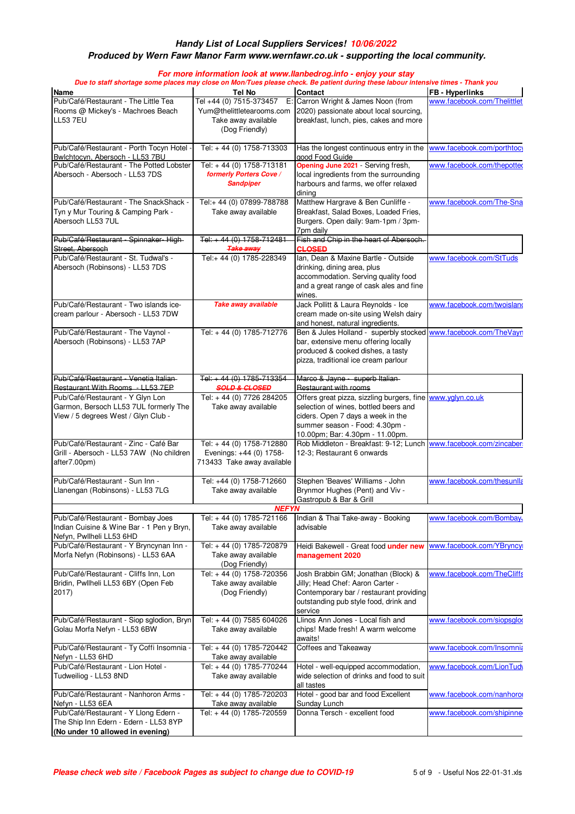# **Produced by Wern Fawr Manor Farm www.wernfawr.co.uk - supporting the local community.**

| <b>Name</b>                                                                                                      | Tel No                                                                            | <b>Contact</b>                                                                                                                                                                                                | <b>FB</b> - Hyperlinks      |
|------------------------------------------------------------------------------------------------------------------|-----------------------------------------------------------------------------------|---------------------------------------------------------------------------------------------------------------------------------------------------------------------------------------------------------------|-----------------------------|
| Pub/Café/Restaurant - The Little Tea                                                                             |                                                                                   | Tel +44 (0) 7515-373457 E: Carron Wright & James Noon (from                                                                                                                                                   | www.facebook.com/Thelittlet |
| Rooms @ Mickey's - Machroes Beach<br><b>LL53 7EU</b>                                                             | Yum@thelittletearooms.com<br>Take away available<br>(Dog Friendly)                | 2020) passionate about local sourcing,<br>breakfast, lunch, pies, cakes and more                                                                                                                              |                             |
| Pub/Café/Restaurant - Porth Tocyn Hotel -<br>Bwlchtocyn, Abersoch - LL53 7BU                                     | Tel: +44 (0) 1758-713303                                                          | Has the longest continuous entry in the<br>good Food Guide                                                                                                                                                    | www.facebook.com/porthtocy  |
| Pub/Café/Restaurant - The Potted Lobster                                                                         | Tel: +44 (0) 1758-713181                                                          | Opening June 2021 - Serving fresh,                                                                                                                                                                            | www.facebook.com/thepotted  |
| Abersoch - Abersoch - LL53 7DS                                                                                   | formerly Porters Cove /<br><b>Sandpiper</b>                                       | local ingredients from the surrounding<br>harbours and farms, we offer relaxed<br>dining                                                                                                                      |                             |
| Pub/Café/Restaurant - The SnackShack -<br>Tyn y Mur Touring & Camping Park -<br>Abersoch LL53 7UL                | Tel:+ 44 (0) 07899-788788<br>Take away available                                  | Matthew Hargrave & Ben Cunliffe -<br>Breakfast, Salad Boxes, Loaded Fries,<br>Burgers. Open daily: 9am-1pm / 3pm-<br>7pm daily                                                                                | www.facebook.com/The-Sna    |
| Pub/Café/Restaurant - Spinnaker-High-                                                                            | Tel: +44 (0) 1758-712481                                                          | Fish and Chip in the heart of Abersoch.                                                                                                                                                                       |                             |
| Street, Abersoch                                                                                                 | <b>Take away</b>                                                                  | <b>CLOSED</b>                                                                                                                                                                                                 |                             |
| Pub/Café/Restaurant - St. Tudwal's -<br>Abersoch (Robinsons) - LL53 7DS                                          | Tel:+ 44 (0) 1785-228349                                                          | Ian, Dean & Maxine Bartle - Outside<br>drinking, dining area, plus<br>accommodation. Serving quality food<br>and a great range of cask ales and fine<br>wines.                                                | www.facebook.com/StTuds     |
| Pub/Café/Restaurant - Two islands ice-                                                                           | Take away available                                                               | Jack Pollitt & Laura Reynolds - Ice                                                                                                                                                                           | www.facebook.com/twoisland  |
| cream parlour - Abersoch - LL53 7DW                                                                              |                                                                                   | cream made on-site using Welsh dairy<br>and honest, natural ingredients.                                                                                                                                      |                             |
| Pub/Café/Restaurant - The Vaynol -                                                                               | Tel: +44 (0) 1785-712776                                                          | Ben & Jules Holland - superbly stocked www.facebook.com/TheVayn                                                                                                                                               |                             |
| Abersoch (Robinsons) - LL53 7AP                                                                                  |                                                                                   | bar, extensive menu offering locally<br>produced & cooked dishes, a tasty<br>pizza, traditional ice cream parlour                                                                                             |                             |
| Pub/Café/Restaurant - Venetia Italian-                                                                           | Tel: +44 (0) 1785-713354                                                          | Marco & Jayne - superb Italian-                                                                                                                                                                               |                             |
| Restaurant With Rooms - LL53 7EP                                                                                 | <b>SOLD &amp; CLOSED</b>                                                          | Restaurant with rooms                                                                                                                                                                                         |                             |
| Pub/Café/Restaurant - Y Glyn Lon<br>Garmon, Bersoch LL53 7UL formerly The<br>View / 5 degrees West / Glyn Club - | Tel: +44 (0) 7726 284205<br>Take away available                                   | Offers great pizza, sizzling burgers, fine www.yglyn.co.uk<br>selection of wines, bottled beers and<br>ciders. Open 7 days a week in the<br>summer season - Food: 4.30pm -<br>10.00pm; Bar: 4.30pm - 11.00pm. |                             |
| Pub/Café/Restaurant - Zinc - Café Bar<br>Grill - Abersoch - LL53 7AW (No children<br>after7.00pm)                | Tel: +44 (0) 1758-712880<br>Evenings: +44 (0) 1758-<br>713433 Take away available | Rob Middleton - Breakfast: 9-12; Lunch www.facebook.com/zincaber<br>12-3; Restaurant 6 onwards                                                                                                                |                             |
| Pub/Café/Restaurant - Sun Inn -                                                                                  | Tel: +44 (0) 1758-712660                                                          | Stephen 'Beaves' Williams - John                                                                                                                                                                              | www.facebook.com/thesunlla  |
| Llanengan (Robinsons) - LL53 7LG                                                                                 | Take away available                                                               | Brynmor Hughes (Pent) and Viv -<br>Gastropub & Bar & Grill                                                                                                                                                    |                             |
|                                                                                                                  | <b>NEFYN</b>                                                                      |                                                                                                                                                                                                               |                             |
| Pub/Café/Restaurant - Bombay Joes<br>Indian Cuisine & Wine Bar - 1 Pen y Bryn,<br>Nefyn, Pwllheli LL53 6HD       | Tel: +44 (0) 1785-721166<br>Take away available                                   | Indian & Thai Take-away - Booking<br>advisable                                                                                                                                                                | www.facebook.com/Bombay.    |
| Pub/Café/Restaurant - Y Bryncynan Inn -<br>Morfa Nefyn (Robinsons) - LL53 6AA                                    | Tel: +44 (0) 1785-720879<br>Take away available<br>(Dog Friendly)                 | Heidi Bakewell - Great food under new<br>management 2020                                                                                                                                                      | www.facebook.com/YBryncy    |
| Pub/Café/Restaurant - Cliffs Inn, Lon<br>Bridin, Pwllheli LL53 6BY (Open Feb<br>2017)                            | Tel: +44 (0) 1758-720356<br>Take away available<br>(Dog Friendly)                 | Josh Brabbin GM; Jonathan (Block) &<br>Jilly; Head Chef: Aaron Carter -<br>Contemporary bar / restaurant providing<br>outstanding pub style food, drink and<br>service                                        | www.facebook.com/TheCliffs  |
| Pub/Café/Restaurant - Siop sglodion, Bryn<br>Golau Morfa Nefyn - LL53 6BW                                        | Tel: +44 (0) 7585 604026<br>Take away available                                   | Llinos Ann Jones - Local fish and<br>chips! Made fresh! A warm welcome<br>awaits!                                                                                                                             | www.facebook.com/siopsgloo  |
| Pub/Café/Restaurant - Ty Coffi Insomnia -<br>Nefyn - LL53 6HD                                                    | Tel: +44 (0) 1785-720442<br>Take away available                                   | Coffees and Takeaway                                                                                                                                                                                          | www.facebook.com/Insomnia   |
| Pub/Café/Restaurant - Lion Hotel -<br>Tudweiliog - LL53 8ND                                                      | Tel: +44 (0) 1785-770244<br>Take away available                                   | Hotel - well-equipped accommodation,<br>wide selection of drinks and food to suit                                                                                                                             | www.facebook.com/LionTudy   |
| Pub/Café/Restaurant - Nanhoron Arms -<br>Nefyn - LL53 6EA                                                        | Tel: +44 (0) 1785-720203<br>Take away available                                   | all tastes<br>Hotel - good bar and food Excellent<br>Sunday Lunch                                                                                                                                             | www.facebook.com/nanhoror   |
| Pub/Café/Restaurant - Y Llong Edern -<br>The Ship Inn Edern - Edern - LL53 8YP                                   | Tel: +44 (0) 1785-720559                                                          | Donna Tersch - excellent food                                                                                                                                                                                 | www.facebook.com/shipinne   |
| (No under 10 allowed in evening)                                                                                 |                                                                                   |                                                                                                                                                                                                               |                             |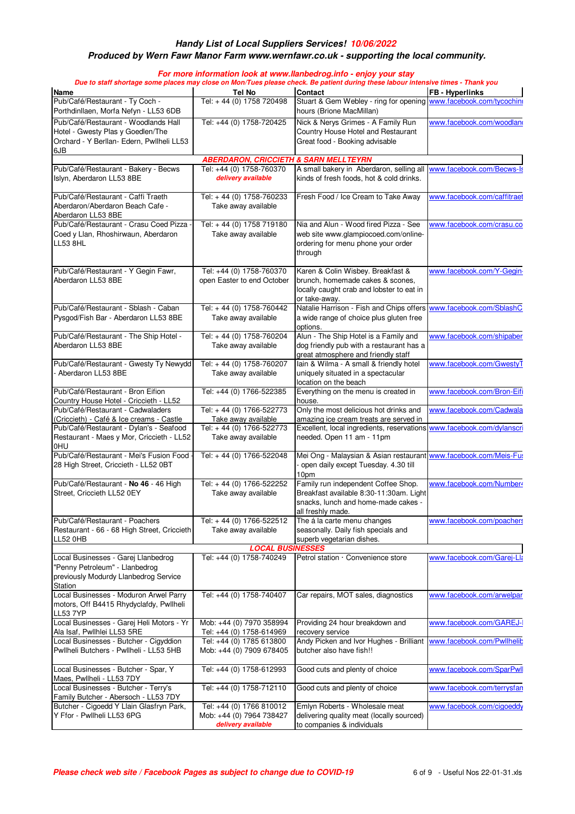### **Produced by Wern Fawr Manor Farm www.wernfawr.co.uk - supporting the local community.**

| Name                                                                                | Tel No                                           | Due to staff shortage some places may close on Mon/Tues please check. Be patient during these labour intensive times - Thank you<br>Contact | <b>FB-Hyperlinks</b>        |
|-------------------------------------------------------------------------------------|--------------------------------------------------|---------------------------------------------------------------------------------------------------------------------------------------------|-----------------------------|
| Pub/Café/Restaurant - Ty Coch -                                                     | Tel: +44 (0) 1758 720498                         | Stuart & Gem Webley - ring for opening                                                                                                      | www.facebook.com/tycochini  |
| Porthdinllaen, Morfa Nefyn - LL53 6DB                                               |                                                  | hours (Brione MacMillan)                                                                                                                    |                             |
| Pub/Café/Restaurant - Woodlands Hall<br>Hotel - Gwesty Plas y Goedlen/The           | Tel: +44 (0) 1758-720425                         | Nick & Nerys Grimes - A Family Run<br>Country House Hotel and Restaurant                                                                    | www.facebook.com/woodland   |
| Orchard - Y Berllan- Edern, Pwllheli LL53                                           |                                                  | Great food - Booking advisable                                                                                                              |                             |
| 6JB                                                                                 |                                                  |                                                                                                                                             |                             |
|                                                                                     | <b>ABERDARON, CRICCIETH &amp; SARN MELLTEYRN</b> |                                                                                                                                             |                             |
| Pub/Café/Restaurant - Bakery - Becws                                                | Tel: +44 (0) 1758-760370                         | A small bakery in Aberdaron, selling all                                                                                                    | www.facebook.com/Becws-Is   |
| Islyn, Aberdaron LL53 8BE                                                           | delivery available                               | kinds of fresh foods, hot & cold drinks.                                                                                                    |                             |
| Pub/Café/Restaurant - Caffi Traeth                                                  | Tel: +44 (0) 1758-760233                         | Fresh Food / Ice Cream to Take Away                                                                                                         | www.facebook.com/caffitraet |
| Aberdaron/Aberdaron Beach Cafe -                                                    | Take away available                              |                                                                                                                                             |                             |
| Aberdaron LL53 8BE<br>Pub/Café/Restaurant - Crasu Coed Pizza                        | Tel: +44 (0) 1758 719180                         | Nia and Alun - Wood fired Pizza - See                                                                                                       | www.facebook.com/crasu.co   |
| Coed y Llan, Rhoshirwaun, Aberdaron                                                 | Take away available                              | web site www.glampiocoed.com/online-                                                                                                        |                             |
| <b>LL53 8HL</b>                                                                     |                                                  | ordering for menu phone your order                                                                                                          |                             |
|                                                                                     |                                                  | through                                                                                                                                     |                             |
|                                                                                     |                                                  |                                                                                                                                             |                             |
| Pub/Café/Restaurant - Y Gegin Fawr,                                                 | Tel: +44 (0) 1758-760370                         | Karen & Colin Wisbey. Breakfast &                                                                                                           | www.facebook.com/Y-Gegin-   |
| Aberdaron LL53 8BE                                                                  | open Easter to end October                       | brunch, homemade cakes & scones,                                                                                                            |                             |
|                                                                                     |                                                  | locally caught crab and lobster to eat in                                                                                                   |                             |
| Pub/Café/Restaurant - Sblash - Caban                                                | Tel: +44 (0) 1758-760442                         | or take-away.<br>Natalie Harrison - Fish and Chips offers                                                                                   | www.facebook.com/SblashC    |
| Pysgod/Fish Bar - Aberdaron LL53 8BE                                                | Take away available                              | a wide range of choice plus gluten free                                                                                                     |                             |
|                                                                                     |                                                  | options.                                                                                                                                    |                             |
| Pub/Café/Restaurant - The Ship Hotel -                                              | Tel: +44 (0) 1758-760204                         | Alun - The Ship Hotel is a Family and                                                                                                       | www.facebook.com/shipaber   |
| Aberdaron LL53 8BE                                                                  | Take away available                              | dog friendly pub with a restaurant has a                                                                                                    |                             |
|                                                                                     |                                                  | great atmosphere and friendly staff                                                                                                         |                             |
| Pub/Café/Restaurant - Gwesty Ty Newydd                                              | Tel: +44 (0) 1758-760207                         | Iain & Wilma - A small & friendly hotel                                                                                                     | www.facebook.com/GwestyT    |
| Aberdaron LL53 8BE                                                                  | Take away available                              | uniquely situated in a spectacular                                                                                                          |                             |
|                                                                                     |                                                  | location on the beach                                                                                                                       |                             |
| Pub/Café/Restaurant - Bron Eifion                                                   | Tel: +44 (0) 1766-522385                         | Everything on the menu is created in                                                                                                        | www.facebook.com/Bron-Eifi  |
| Country House Hotel - Criccieth - LL52                                              |                                                  | house.                                                                                                                                      |                             |
| Pub/Café/Restaurant - Cadwaladers                                                   | Tel: +44 (0) 1766-522773                         | Only the most delicious hot drinks and                                                                                                      | www.facebook.com/Cadwala    |
| (Criccieth) - Café & Ice creams - Castle<br>Pub/Café/Restaurant - Dylan's - Seafood | Take away available<br>Tel: +44 (0) 1766-522773  | amazing ice cream treats are served in<br>Excellent, local ingredients, reservations www.facebook.com/dylanscri                             |                             |
| Restaurant - Maes y Mor, Criccieth - LL52                                           | Take away available                              | needed. Open 11 am - 11pm                                                                                                                   |                             |
| 0HU                                                                                 |                                                  |                                                                                                                                             |                             |
| Pub/Café/Restaurant - Mei's Fusion Food                                             | Tel: +44 (0) 1766-522048                         | Mei Ong - Malaysian & Asian restaurant www.facebook.com/Meis-Fus                                                                            |                             |
| 28 High Street, Criccieth - LL52 0BT                                                |                                                  | open daily except Tuesday. 4.30 till                                                                                                        |                             |
|                                                                                     |                                                  | 10pm                                                                                                                                        |                             |
| Pub/Café/Restaurant - No 46 - 46 High                                               | Tel: +44 (0) 1766-522252                         | Family run independent Coffee Shop.                                                                                                         | www.facebook.com/Number4    |
| Street, Criccieth LL52 0EY                                                          | Take away available                              | Breakfast available 8:30-11:30am. Light                                                                                                     |                             |
|                                                                                     |                                                  | snacks, lunch and home-made cakes -                                                                                                         |                             |
|                                                                                     |                                                  | all freshly made.                                                                                                                           |                             |
| Pub/Café/Restaurant - Poachers                                                      | Tel: +44 (0) 1766-522512                         | The á la carte menu changes                                                                                                                 | www.facebook.com/poachers   |
| Restaurant - 66 - 68 High Street, Criccieth<br><b>LL52 0HB</b>                      | Take away available                              | seasonally. Daily fish specials and<br>superb vegetarian dishes.                                                                            |                             |
|                                                                                     | <b>LOCAL BUSINESSES</b>                          |                                                                                                                                             |                             |
| Local Businesses - Garej Llanbedrog                                                 | Tel: +44 (0) 1758-740249                         | Petrol station · Convenience store                                                                                                          | www.facebook.com/Garei-Lla  |
| "Penny Petroleum" - Llanbedrog                                                      |                                                  |                                                                                                                                             |                             |
| previously Modurdy Llanbedrog Service                                               |                                                  |                                                                                                                                             |                             |
| Station                                                                             |                                                  |                                                                                                                                             |                             |
| Local Businesses - Moduron Arwel Parry                                              | Tel: +44 (0) 1758-740407                         | Car repairs, MOT sales, diagnostics                                                                                                         | www.facebook.com/arwelpar   |
| motors, Off B4415 Rhydyclafdy, Pwllheli                                             |                                                  |                                                                                                                                             |                             |
| LL53 7YP                                                                            |                                                  |                                                                                                                                             |                             |
| Local Businesses - Garej Heli Motors - Yr                                           | Mob: +44 (0) 7970 358994                         | Providing 24 hour breakdown and                                                                                                             | www.facebook.com/GAREJ-     |
| Ala Isaf, Pwllhlei LL53 5RE                                                         | Tel: +44 (0) 1758-614969                         | recovery service                                                                                                                            |                             |
| Local Businesses - Butcher - Cigyddion                                              | Tel: +44 (0) 1785 613800                         | Andy Picken and Ivor Hughes - Brilliant                                                                                                     | www.facebook.com/Pwllhelib  |
| Pwllheli Butchers - Pwllheli - LL53 5HB                                             | Mob: +44 (0) 7909 678405                         | butcher also have fish!!                                                                                                                    |                             |
|                                                                                     |                                                  | Good cuts and plenty of choice                                                                                                              | www.facebook.com/SparPwll   |
|                                                                                     |                                                  |                                                                                                                                             |                             |
| Local Businesses - Butcher - Spar, Y                                                | Tel: +44 (0) 1758-612993                         |                                                                                                                                             |                             |
|                                                                                     | Tel: +44 (0) 1758-712110                         | Good cuts and plenty of choice                                                                                                              | www.facebook.com/terrysfan  |
| Local Businesses - Butcher - Terry's<br>Family Butcher - Abersoch - LL53 7DY        |                                                  |                                                                                                                                             |                             |
| Maes, Pwllheli - LL53 7DY<br>Butcher - Cigoedd Y Llain Glasfryn Park,               | Tel: +44 (0) 1766 810012                         | Emlyn Roberts - Wholesale meat                                                                                                              | www.facebook.com/cigoeddy   |
| Y Ffor - Pwllheli LL53 6PG                                                          | Mob: +44 (0) 7964 738427<br>delivery available   | delivering quality meat (locally sourced)<br>to companies & individuals                                                                     |                             |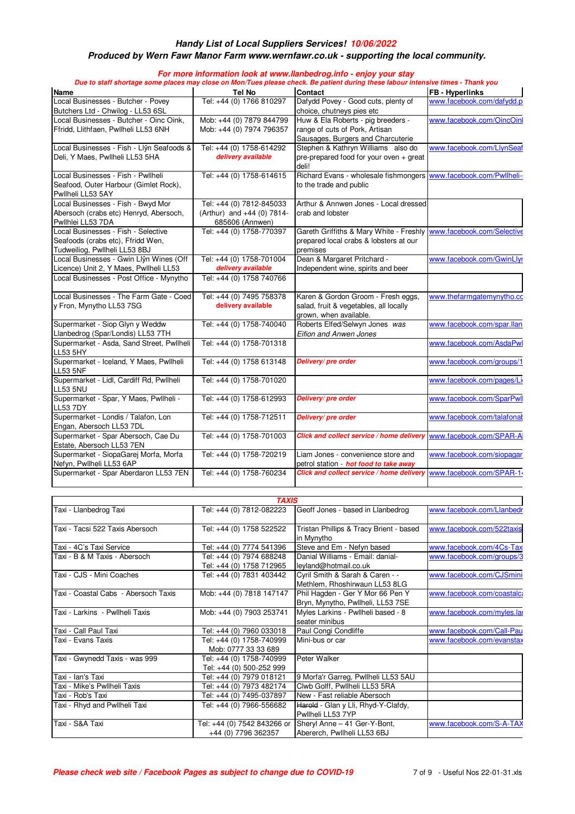### **Produced by Wern Fawr Manor Farm www.wernfawr.co.uk - supporting the local community.**

|                                                            | Tel No                     | Due to staff shortage some places may close on Mon/Tues please check. Be patient during these labour intensive times - Thank you<br><b>Contact</b> | <b>FB</b> - Hyperlinks     |
|------------------------------------------------------------|----------------------------|----------------------------------------------------------------------------------------------------------------------------------------------------|----------------------------|
| <b>Name</b><br>Local Businesses - Butcher - Povey          | Tel: +44 (0) 1766 810297   | Dafydd Povey - Good cuts, plenty of                                                                                                                | www.facebook.com/dafydd.p  |
| Butchers Ltd - Chwilog - LL53 6SL                          |                            | choice, chutneys pies etc                                                                                                                          |                            |
| Local Businesses - Butcher - Oinc Oink,                    | Mob: +44 (0) 7879 844799   | Huw & Ela Roberts - pig breeders -                                                                                                                 | www.facebook.com/OincOinl  |
| Ffridd, Llithfaen, Pwllheli LL53 6NH                       | Mob: +44 (0) 7974 796357   | range of cuts of Pork, Artisan                                                                                                                     |                            |
|                                                            |                            | Sausages, Burgers and Charcuterie                                                                                                                  |                            |
| Local Businesses - Fish - Llŷn Seafoods &                  | Tel: +44 (0) 1758-614292   | Stephen & Kathryn Williams also do                                                                                                                 | www.facebook.com/LlynSeaf  |
| Deli, Y Maes, Pwllheli LL53 5HA                            | delivery available         | pre-prepared food for your oven + great                                                                                                            |                            |
|                                                            |                            | deli!                                                                                                                                              |                            |
| Local Businesses - Fish - Pwllheli                         | Tel: +44 (0) 1758-614615   | Richard Evans - wholesale fishmongers www.facebook.com/Pwllheli-                                                                                   |                            |
| Seafood, Outer Harbour (Gimlet Rock),                      |                            | to the trade and public                                                                                                                            |                            |
| Pwllheli LL53 5AY                                          |                            |                                                                                                                                                    |                            |
| Local Businesses - Fish - Bwyd Mor                         | Tel: +44 (0) 7812-845033   | Arthur & Annwen Jones - Local dressed                                                                                                              |                            |
| Abersoch (crabs etc) Henryd, Abersoch,                     | (Arthur) and +44 (0) 7814- | crab and lobster                                                                                                                                   |                            |
| Pwllhlei LL53 7DA                                          | 685606 (Annwen)            |                                                                                                                                                    |                            |
| Local Businesses - Fish - Selective                        | Tel: +44 (0) 1758-770397   | Gareth Griffiths & Mary White - Freshly www.facebook.com/Selective                                                                                 |                            |
| Seafoods (crabs etc), Ffridd Wen,                          |                            | prepared local crabs & lobsters at our                                                                                                             |                            |
| Tudweiliog, Pwllheli LL53 8BJ                              |                            | premises                                                                                                                                           |                            |
| Local Businesses - Gwin Llŷn Wines (Off                    | Tel: +44 (0) 1758-701004   | Dean & Margaret Pritchard -                                                                                                                        | www.facebook.com/GwinLlyr  |
| Licence) Unit 2, Y Maes, Pwllheli LL53                     | delivery available         | Independent wine, spirits and beer                                                                                                                 |                            |
| Local Businesses - Post Office - Mynytho                   | Tel: +44 (0) 1758 740766   |                                                                                                                                                    |                            |
| Local Businesses - The Farm Gate - Coed                    | Tel: +44 (0) 7495 758378   | Karen & Gordon Groom - Fresh eggs,                                                                                                                 | www.thefarmgatemynytho.cc  |
| y Fron, Mynytho LL53 7SG                                   | delivery available         | salad, fruit & vegetables, all locally                                                                                                             |                            |
|                                                            |                            | grown, when available.                                                                                                                             |                            |
| Supermarket - Siop Glyn y Weddw                            | Tel: +44 (0) 1758-740040   | Roberts Elfed/Selwyn Jones was                                                                                                                     | www.facebook.com/spar.llan |
| Llanbedrog (Spar/Londis) LL53 7TH                          |                            | Eifion and Anwen Jones                                                                                                                             |                            |
| Supermarket - Asda, Sand Street, Pwllheli<br>LL53 5HY      | Tel: +44 (0) 1758-701318   |                                                                                                                                                    | www.facebook.com/AsdaPwl   |
| Supermarket - Iceland, Y Maes, Pwllheli<br><b>LL53 5NF</b> | Tel: +44 (0) 1758 613148   | Delivery/pre order                                                                                                                                 | www.facebook.com/groups/1  |
| Supermarket - Lidl, Cardiff Rd, Pwllheli                   | Tel: +44 (0) 1758-701020   |                                                                                                                                                    | www.facebook.com/pages/Li  |
| <b>LL53 5NU</b>                                            |                            |                                                                                                                                                    |                            |
| Supermarket - Spar, Y Maes, Pwllheli -<br><b>LL53 7DY</b>  | Tel: +44 (0) 1758-612993   | Delivery/pre order                                                                                                                                 | www.facebook.com/SparPwll  |
| Supermarket - Londis / Talafon, Lon                        | Tel: +44 (0) 1758-712511   | Delivery/pre order                                                                                                                                 | www.facebook.com/talafonal |
| Engan, Abersoch LL53 7DL                                   |                            |                                                                                                                                                    |                            |
| Supermarket - Spar Abersoch, Cae Du                        | Tel: +44 (0) 1758-701003   | Click and collect service / home delivery www.facebook.com/SPAR-A                                                                                  |                            |
| Estate, Abersoch LL53 7EN                                  |                            |                                                                                                                                                    |                            |
| Supermarket - SiopaGarej Morfa, Morfa                      | Tel: +44 (0) 1758-720219   | Liam Jones - convenience store and                                                                                                                 | www.facebook.com/siopagar  |
| Nefyn, Pwllheli LL53 6AP                                   |                            | petrol station - <b>hot food to take away</b>                                                                                                      |                            |
| Supermarket - Spar Aberdaron LL53 7EN                      | Tel: +44 (0) 1758-760234   | Click and collect service / home delivery                                                                                                          | www.facebook.com/SPAR-14   |

|                                      | <b>TAXIS</b>                |                                         |                            |
|--------------------------------------|-----------------------------|-----------------------------------------|----------------------------|
| Taxi - Llanbedrog Taxi               | Tel: +44 (0) 7812-082223    | Geoff Jones - based in Llanbedrog       | www.facebook.com/Llanbedr  |
| Taxi - Tacsi 522 Taxis Abersoch      | Tel: +44 (0) 1758 522522    | Tristan Phillips & Tracy Brient - based | www.facebook.com/522taxis  |
|                                      |                             | in Mynytho                              |                            |
| Taxi - 4C's Taxi Service             | Tel: +44 (0) 7774 541396    | Steve and Em - Nefyn based              | www.facebook.com/4Cs-Tax   |
| Taxi - B & M Taxis - Abersoch        | Tel: +44 (0) 7974 688248    | Danial Williams - Email: danial-        | www.facebook.com/groups/3  |
|                                      | Tel: +44 (0) 1758 712965    | leyland@hotmail.co.uk                   |                            |
| Taxi - CJS - Mini Coaches            | Tel: +44 (0) 7831 403442    | Cyril Smith & Sarah & Caren - -         | www.facebook.com/CJSmini   |
|                                      |                             | Methlem, Rhoshirwaun LL53 8LG           |                            |
| Taxi - Coastal Cabs - Abersoch Taxis | Mob: +44 (0) 7818 147147    | Phil Hagden - Ger Y Mor 66 Pen Y        | www.facebook.com/coastalca |
|                                      |                             | Bryn, Mynytho, Pwllheli, LL53 7SE       |                            |
| Taxi - Larkins - Pwllheli Taxis      | Mob: +44 (0) 7903 253741    | Myles Larkins - Pwllheli based - 8      | www.facebook.com/myles.lar |
|                                      |                             | seater minibus                          |                            |
| Taxi - Call Paul Taxi                | Tel: +44 (0) 7960 033018    | Paul Congi Condliffe                    | www.facebook.com/Call-Pau  |
| Taxi - Evans Taxis                   | Tel: +44 (0) 1758-740999    | Mini-bus or car                         | www.facebook.com/evanstax  |
|                                      | Mob: 0777 33 33 689         |                                         |                            |
| Taxi - Gwynedd Taxis - was 999       | Tel: +44 (0) 1758-740999    | Peter Walker                            |                            |
|                                      | Tel: +44 (0) 500-252 999    |                                         |                            |
| Taxi - Ian's Taxi                    | Tel: +44 (0) 7979 018121    | 9 Morfa'r Garreg, Pwllheli LL53 5AU     |                            |
| Taxi - Mike's Pwllheli Taxis         | Tel: +44 (0) 7973 482174    | Clwb Golff, Pwllheli LL53 5RA           |                            |
| Taxi - Rob's Taxi                    | Tel: +44 (0) 7495-037897    | New - Fast reliable Abersoch            |                            |
| Taxi - Rhyd and Pwllheli Taxi        | Tel: +44 (0) 7966-556682    | Harold - Glan y Lli, Rhyd-Y-Clafdy,     |                            |
|                                      |                             | Pwllheli LL53 7YP                       |                            |
| Taxi - S&A Taxi                      | Tel: +44 (0) 7542 843266 or | Sheryl Anne - 41 Ger-Y-Bont,            | www.facebook.com/S-A-TAX   |
|                                      | +44 (0) 7796 362357         | Abererch, Pwllheli LL53 6BJ             |                            |
|                                      |                             |                                         |                            |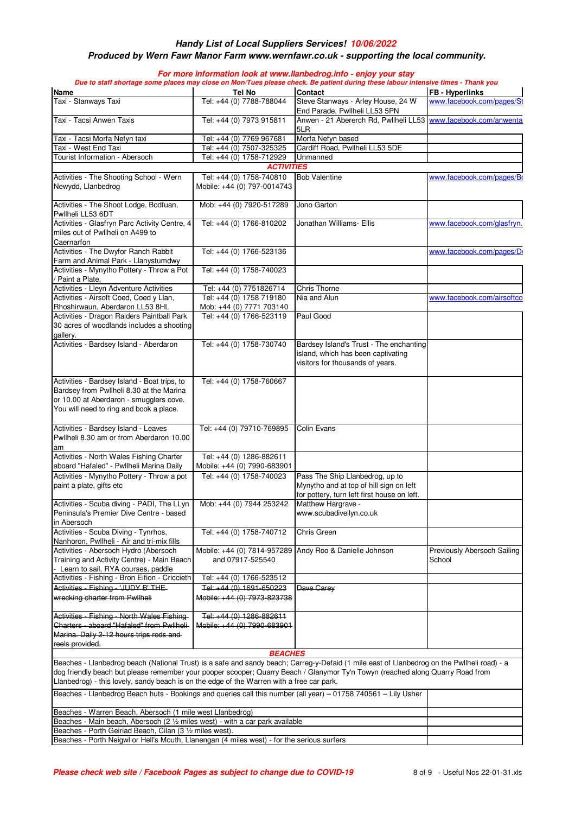#### **Produced by Wern Fawr Manor Farm www.wernfawr.co.uk - supporting the local community.**

| <b>Name</b>                                                                                                                                                                                                                                                                                                                                                                | Tel No                                                   | Due to staff shortage some places may close on Mon/Tues please check. Be patient during these labour intensive times - Thank you<br><b>Contact</b> | <b>FB</b> - Hyperlinks                |
|----------------------------------------------------------------------------------------------------------------------------------------------------------------------------------------------------------------------------------------------------------------------------------------------------------------------------------------------------------------------------|----------------------------------------------------------|----------------------------------------------------------------------------------------------------------------------------------------------------|---------------------------------------|
| Taxi - Stanways Taxi                                                                                                                                                                                                                                                                                                                                                       | Tel: +44 (0) 7788-788044                                 | Steve Stanways - Arley House, 24 W                                                                                                                 | www.facebook.com/pages/St             |
|                                                                                                                                                                                                                                                                                                                                                                            |                                                          | End Parade, Pwllheli LL53 5PN                                                                                                                      |                                       |
| Taxi - Tacsi Anwen Taxis                                                                                                                                                                                                                                                                                                                                                   | Tel: +44 (0) 7973 915811                                 | Anwen - 21 Abererch Rd, Pwllheli LL53 www.facebook.com/anwenta<br>5LR                                                                              |                                       |
| Taxi - Tacsi Morfa Nefyn taxi                                                                                                                                                                                                                                                                                                                                              | Tel: +44 (0) 7769 967681                                 | Morfa Nefyn based                                                                                                                                  |                                       |
| Taxi - West End Taxi                                                                                                                                                                                                                                                                                                                                                       | Tel: +44 (0) 7507-325325                                 | Cardiff Road, Pwllheli LL53 5DE                                                                                                                    |                                       |
| Tourist Information - Abersoch                                                                                                                                                                                                                                                                                                                                             | Tel: +44 (0) 1758-712929                                 | Unmanned                                                                                                                                           |                                       |
|                                                                                                                                                                                                                                                                                                                                                                            | <b>ACTIVITIES</b>                                        |                                                                                                                                                    |                                       |
| Activities - The Shooting School - Wern<br>Newydd, Llanbedrog                                                                                                                                                                                                                                                                                                              | Tel: +44 (0) 1758-740810<br>Mobile: +44 (0) 797-0014743  | <b>Bob Valentine</b>                                                                                                                               | www.facebook.com/pages/Bo             |
| Activities - The Shoot Lodge, Bodfuan,<br>Pwllheli LL53 6DT                                                                                                                                                                                                                                                                                                                | Mob: +44 (0) 7920-517289                                 | Jono Garton                                                                                                                                        |                                       |
| Activities - Glasfryn Parc Activity Centre, 4<br>miles out of Pwllheli on A499 to<br>Caernarfon                                                                                                                                                                                                                                                                            | Tel: +44 (0) 1766-810202                                 | Jonathan Williams- Ellis                                                                                                                           | www.facebook.com/glasfryn.            |
| Activities - The Dwyfor Ranch Rabbit<br>Farm and Animal Park - Llanystumdwy                                                                                                                                                                                                                                                                                                | Tel: +44 (0) 1766-523136                                 |                                                                                                                                                    | www.facebook.com/pages/Dy             |
| Activities - Mynytho Pottery - Throw a Pot<br>Paint a Plate,                                                                                                                                                                                                                                                                                                               | Tel: +44 (0) 1758-740023                                 |                                                                                                                                                    |                                       |
| Activities - Lleyn Adventure Activities                                                                                                                                                                                                                                                                                                                                    | Tel: +44 (0) 7751826714                                  | <b>Chris Thorne</b>                                                                                                                                |                                       |
| Activities - Airsoft Coed, Coed y Llan,                                                                                                                                                                                                                                                                                                                                    | Tel: +44 (0) 1758 719180                                 | Nia and Alun                                                                                                                                       | www.facebook.com/airsoftco            |
| Rhoshirwaun, Aberdaron LL53 8HL                                                                                                                                                                                                                                                                                                                                            | Mob: +44 (0) 7771 703140                                 |                                                                                                                                                    |                                       |
| Activities - Dragon Raiders Paintball Park<br>30 acres of woodlands includes a shooting                                                                                                                                                                                                                                                                                    | Tel: +44 (0) 1766-523119                                 | Paul Good                                                                                                                                          |                                       |
| gallery.                                                                                                                                                                                                                                                                                                                                                                   |                                                          |                                                                                                                                                    |                                       |
| Activities - Bardsey Island - Aberdaron                                                                                                                                                                                                                                                                                                                                    | Tel: +44 (0) 1758-730740                                 | Bardsey Island's Trust - The enchanting<br>island, which has been captivating<br>visitors for thousands of years.                                  |                                       |
| Activities - Bardsey Island - Boat trips, to<br>Bardsey from Pwllheli 8.30 at the Marina<br>or 10.00 at Aberdaron - smugglers cove.<br>You will need to ring and book a place.                                                                                                                                                                                             | Tel: +44 (0) 1758-760667                                 |                                                                                                                                                    |                                       |
| Activities - Bardsey Island - Leaves<br>Pwllheli 8.30 am or from Aberdaron 10.00<br>am                                                                                                                                                                                                                                                                                     | Tel: +44 (0) 79710-769895                                | Colin Evans                                                                                                                                        |                                       |
| Activities - North Wales Fishing Charter<br>aboard "Hafaled" - Pwllheli Marina Daily                                                                                                                                                                                                                                                                                       | Tel: +44 (0) 1286-882611<br>Mobile: +44 (0) 7990-683901  |                                                                                                                                                    |                                       |
| Activities - Mynytho Pottery - Throw a pot                                                                                                                                                                                                                                                                                                                                 | Tel: +44 (0) 1758-740023                                 | Pass The Ship Llanbedrog, up to                                                                                                                    |                                       |
| paint a plate, gifts etc                                                                                                                                                                                                                                                                                                                                                   |                                                          | Mynytho and at top of hill sign on left<br>for pottery, turn left first house on left.                                                             |                                       |
| Activities - Scuba diving - PADI, The LLyn<br>Peninsula's Premier Dive Centre - based<br>in Abersoch                                                                                                                                                                                                                                                                       | Mob: +44 (0) 7944 253242                                 | Matthew Hargrave -<br>www.scubadivellyn.co.uk                                                                                                      |                                       |
| Activities - Scuba Diving - Tynrhos,<br>Nanhoron, Pwllheli - Air and tri-mix fills                                                                                                                                                                                                                                                                                         | Tel: +44 (0) 1758-740712                                 | Chris Green                                                                                                                                        |                                       |
| Activities - Abersoch Hydro (Abersoch<br>Training and Activity Centre) - Main Beach<br>Learn to sail, RYA courses, paddle                                                                                                                                                                                                                                                  | and 07917-525540                                         | Mobile: +44 (0) 7814-957289 Andy Roo & Danielle Johnson                                                                                            | Previously Abersoch Sailing<br>School |
| Activities - Fishing - Bron Eifion - Criccieth                                                                                                                                                                                                                                                                                                                             | Tel: +44 (0) 1766-523512                                 |                                                                                                                                                    |                                       |
| Activities - Fishing - 'JUDY B' THE-<br>wrecking charter from Pwllheli                                                                                                                                                                                                                                                                                                     | Tel: $+44(0)$ 1691-650223<br>Mobile: +44 (0) 7973-823738 | Dave Carey                                                                                                                                         |                                       |
| Activities - Fishing - North Wales Fishing-<br>Charters - aboard "Hafaled" from Pwllheli-<br>Marina. Daily 2-12 hours trips rods and                                                                                                                                                                                                                                       | Tel: +44 (0) 1286-882611<br>Mobile: +44 (0) 7990-683901  |                                                                                                                                                    |                                       |
| reels provided.                                                                                                                                                                                                                                                                                                                                                            |                                                          |                                                                                                                                                    |                                       |
|                                                                                                                                                                                                                                                                                                                                                                            | <b>BEACHES</b>                                           |                                                                                                                                                    |                                       |
| Beaches - Llanbedrog beach (National Trust) is a safe and sandy beach; Carreg-y-Defaid (1 mile east of Llanbedrog on the Pwllheli road) - a<br>dog friendly beach but please remember your pooper scooper; Quarry Beach / Glanymor Ty'n Towyn (reached along Quarry Road from<br>Llanbedrog) - this lovely, sandy beach is on the edge of the Warren with a free car park. |                                                          |                                                                                                                                                    |                                       |
| Beaches - Llanbedrog Beach huts - Bookings and queries call this number (all year) - 01758 740561 - Lily Usher                                                                                                                                                                                                                                                             |                                                          |                                                                                                                                                    |                                       |
| Beaches - Warren Beach, Abersoch (1 mile west Llanbedrog)<br>Beaches - Main beach, Abersoch (2 1/2 miles west) - with a car park available                                                                                                                                                                                                                                 |                                                          |                                                                                                                                                    |                                       |
| Beaches - Porth Geiriad Beach, Cilan (3 1/2 miles west).                                                                                                                                                                                                                                                                                                                   |                                                          |                                                                                                                                                    |                                       |
| Beaches - Porth Neigwl or Hell's Mouth, Llanengan (4 miles west) - for the serious surfers                                                                                                                                                                                                                                                                                 |                                                          |                                                                                                                                                    |                                       |
|                                                                                                                                                                                                                                                                                                                                                                            |                                                          |                                                                                                                                                    |                                       |